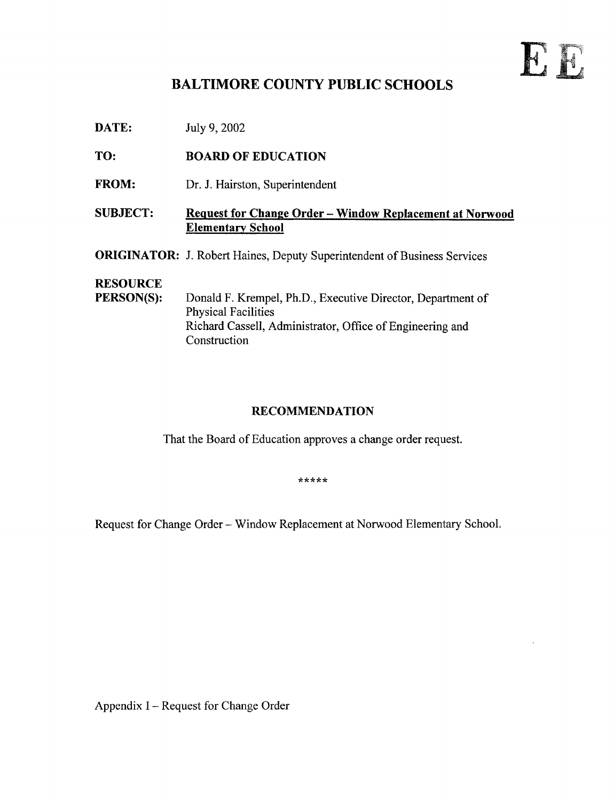# E.F.

### BALTIMORE COUNTY PUBLIC SCHOOLS

**DATE:** July 9, 2002

TO: BOARD OF EDUCATION

FROM: Dr. J. Hairston, Superintendent

SUBJECT: Request for Change Order - Window Replacement at Norwood Elementary School

ORIGINATOR: J. Robert Haines, Deputy Superintendent of Business Services

## **RESOURCE**<br>PERSON(S):

Donald F. Krempel, Ph.D., Executive Director, Department of Physical Facilities Richard Cassell, Administrator, Office of Engineering and **Construction** 

#### RECOMMENDATION

That the Board of Education approves a change order request.

\*\*\*\*\*

Request for Change Order - Window Replacement at Norwood Elementary School.

Appendix I - Request for Change Order